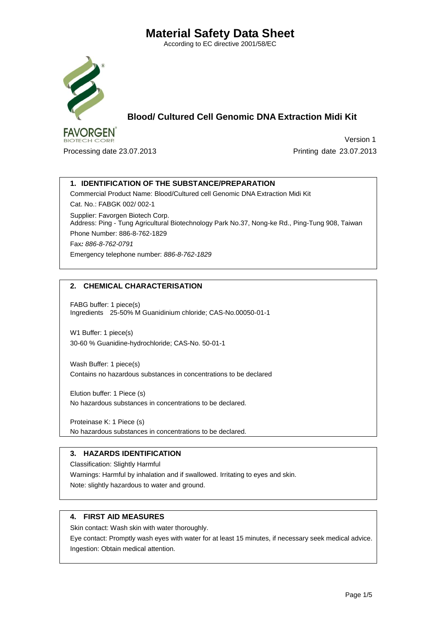According to EC directive 2001/58/EC



 **Blood/ Cultured Cell Genomic DNA Extraction Midi Kit**

Processing date 23.07.2013 Printing date 23.07.2013

Version 1

### **1. IDENTIFICATION OF THE SUBSTANCE/PREPARATION**

Commercial Product Name: Blood/Cultured cell Genomic DNA Extraction Midi Kit

Cat. No.: FABGK 002/ 002-1 Supplier: Favorgen Biotech Corp. Address: Ping - Tung Agricultural Biotechnology Park No.37, Nong-ke Rd., Ping-Tung 908, Taiwan Phone Number: 886-8-762-1829 Fax*: 886-8-762-0791* Emergency telephone number: *886-8-762-1829*

## **2. CHEMICAL CHARACTERISATION**

FABG buffer: 1 piece(s) Ingredients 25-50% M Guanidinium chloride; CAS-No.00050-01-1

W1 Buffer: 1 piece(s) 30-60 % Guanidine-hydrochloride; CAS-No. 50-01-1

Wash Buffer: 1 piece(s) Contains no hazardous substances in concentrations to be declared

Elution buffer: 1 Piece (s) No hazardous substances in concentrations to be declared.

Proteinase K: 1 Piece (s) No hazardous substances in concentrations to be declared.

## **3. HAZARDS IDENTIFICATION**

Classification: Slightly Harmful Warnings: Harmful by inhalation and if swallowed. Irritating to eyes and skin.

Note: slightly hazardous to water and ground.

#### **4. FIRST AID MEASURES**

Skin contact: Wash skin with water thoroughly.

Eye contact: Promptly wash eyes with water for at least 15 minutes, if necessary seek medical advice. Ingestion: Obtain medical attention.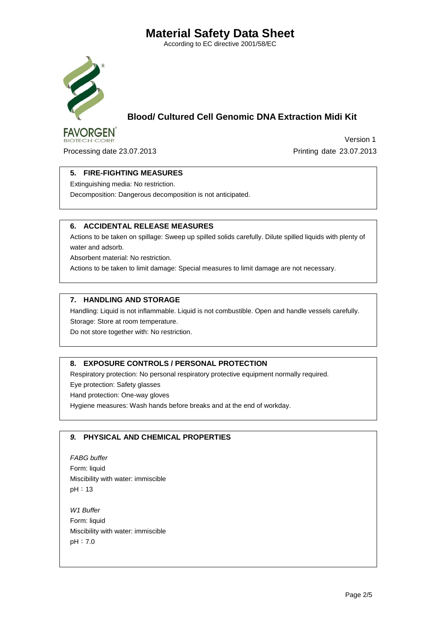According to EC directive 2001/58/EC



**BIOTECH CORP.** 

 **Blood/ Cultured Cell Genomic DNA Extraction Midi Kit**

Processing date 23.07.2013 Printing date 23.07.2013

Version 1

### **5. FIRE-FIGHTING MEASURES**

Extinguishing media: No restriction.

Decomposition: Dangerous decomposition is not anticipated.

#### **6. ACCIDENTAL RELEASE MEASURES**

Actions to be taken on spillage: Sweep up spilled solids carefully. Dilute spilled liquids with plenty of water and adsorb.

Absorbent material: No restriction.

Actions to be taken to limit damage: Special measures to limit damage are not necessary.

#### **7. HANDLING AND STORAGE**

Handling: Liquid is not inflammable. Liquid is not combustible. Open and handle vessels carefully. Storage: Store at room temperature.

Do not store together with: No restriction.

### **8. EXPOSURE CONTROLS / PERSONAL PROTECTION**

Respiratory protection: No personal respiratory protective equipment normally required.

Eye protection: Safety glasses

Hand protection: One-way gloves

Hygiene measures: Wash hands before breaks and at the end of workday.

### *9.* **PHYSICAL AND CHEMICAL PROPERTIES**

*FABG buffer* Form: liquid Miscibility with water: immiscible pH:13

*W1 Buffer*  Form: liquid Miscibility with water: immiscible pH:7.0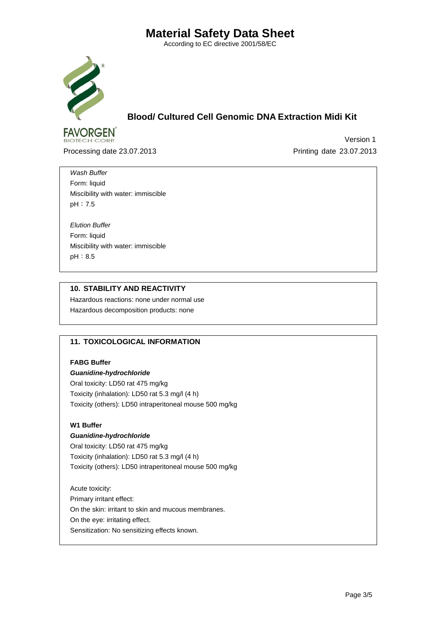According to EC directive 2001/58/EC



**BIOTECH CORP.** 

 **Blood/ Cultured Cell Genomic DNA Extraction Midi Kit**

Processing date 23.07.2013 Printing date 23.07.2013

Version 1

*Wash Buffer* Form: liquid Miscibility with water: immiscible pH:7.5

*Elution Buffer* Form: liquid Miscibility with water: immiscible pH:8.5

#### **10. STABILITY AND REACTIVITY** Hazardous reactions: none under normal use

Hazardous decomposition products: none

### **11. TOXICOLOGICAL INFORMATION**

#### **FABG Buffer**

*Guanidine-hydrochloride* Oral toxicity: LD50 rat 475 mg/kg Toxicity (inhalation): LD50 rat 5.3 mg/l (4 h) Toxicity (others): LD50 intraperitoneal mouse 500 mg/kg

#### **W1 Buffer**

#### *Guanidine-hydrochloride*

Oral toxicity: LD50 rat 475 mg/kg Toxicity (inhalation): LD50 rat 5.3 mg/l (4 h) Toxicity (others): LD50 intraperitoneal mouse 500 mg/kg

Acute toxicity: Primary irritant effect: On the skin: irritant to skin and mucous membranes. On the eye: irritating effect. Sensitization: No sensitizing effects known.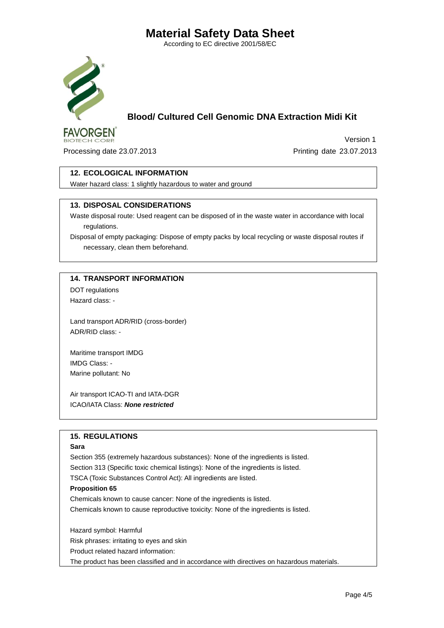According to EC directive 2001/58/EC



# **Blood/ Cultured Cell Genomic DNA Extraction Midi Kit**

 Version 1 Processing date 23.07.2013 Printing date 23.07.2013

#### **12. ECOLOGICAL INFORMATION**

Water hazard class: 1 slightly hazardous to water and ground

#### **13. DISPOSAL CONSIDERATIONS**

Waste disposal route: Used reagent can be disposed of in the waste water in accordance with local regulations.

Disposal of empty packaging: Dispose of empty packs by local recycling or waste disposal routes if necessary, clean them beforehand.

#### **14. TRANSPORT INFORMATION**

DOT regulations Hazard class: -

Land transport ADR/RID (cross-border) ADR/RID class: -

Maritime transport IMDG IMDG Class: - Marine pollutant: No

Air transport ICAO-TI and IATA-DGR ICAO/IATA Class: *None restricted*

#### **15. REGULATIONS**

#### **Sara**

Section 355 (extremely hazardous substances): None of the ingredients is listed.

Section 313 (Specific toxic chemical listings): None of the ingredients is listed.

TSCA (Toxic Substances Control Act): All ingredients are listed.

#### **Proposition 65**

Chemicals known to cause cancer: None of the ingredients is listed.

Chemicals known to cause reproductive toxicity: None of the ingredients is listed.

Hazard symbol: Harmful

Risk phrases: irritating to eyes and skin

Product related hazard information:

The product has been classified and in accordance with directives on hazardous materials.